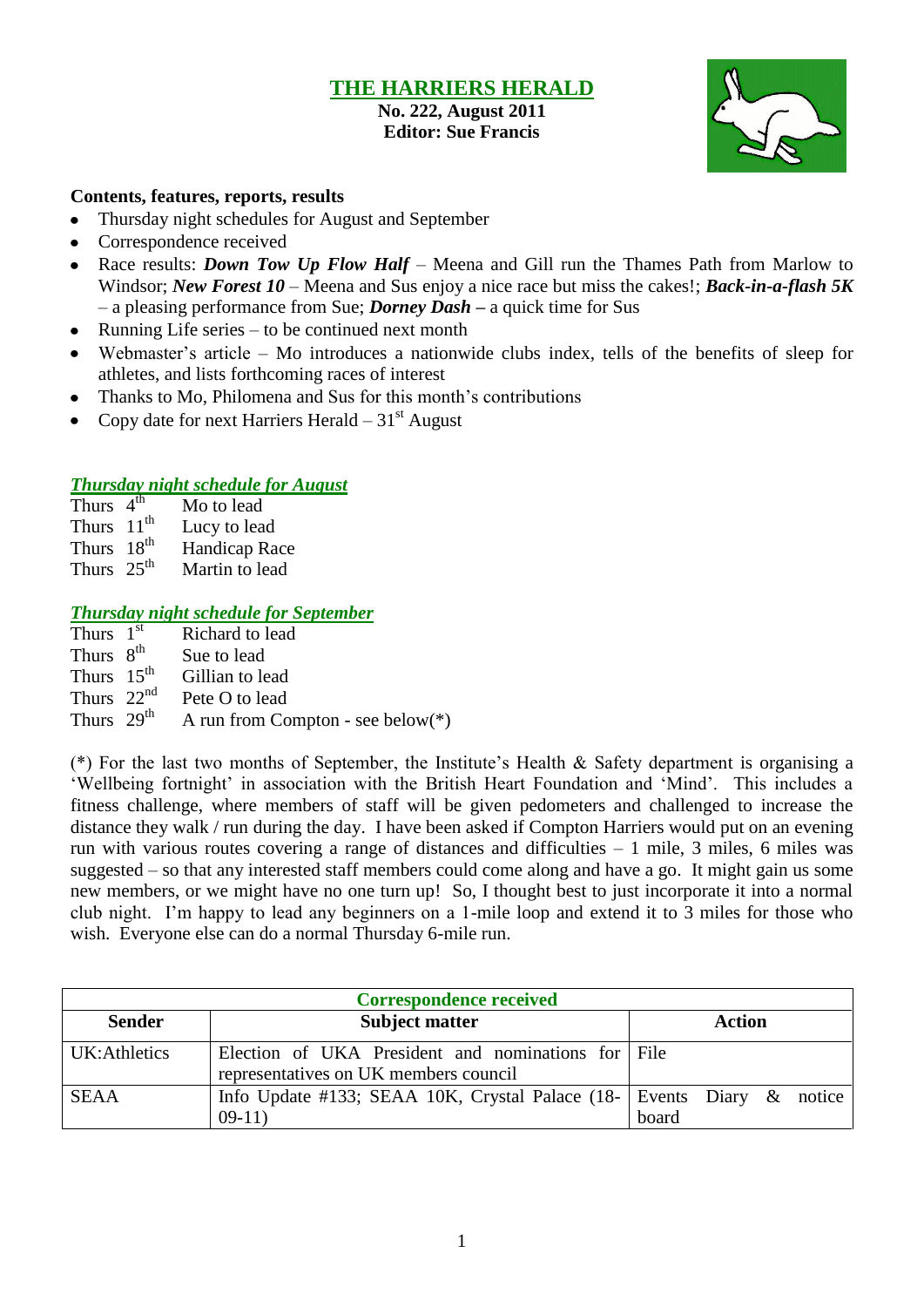## **THE HARRIERS HERALD**

**No. 222, August 2011 Editor: Sue Francis**



### **Contents, features, reports, results**

- $\bullet$ Thursday night schedules for August and September
- Correspondence received  $\bullet$
- Race results: *Down Tow Up Flow Half* Meena and Gill run the Thames Path from Marlow to  $\bullet$ Windsor; *New Forest 10 –* Meena and Sus enjoy a nice race but miss the cakes!; *Back-in-a-flash 5K* – a pleasing performance from Sue; *Dorney Dash –* a quick time for Sus
- Running Life series to be continued next month  $\bullet$
- Webmaster's article Mo introduces a nationwide clubs index, tells of the benefits of sleep for athletes, and lists forthcoming races of interest
- Thanks to Mo, Philomena and Sus for this month's contributions
- Copy date for next Harriers Herald  $-31<sup>st</sup>$  August

### *Thursday night schedule for August*

- Thurs  $4<sup>th</sup>$ Mo to lead Thurs  $11^{th}$  Lucy to lead<br>Thurs  $18^{th}$  Handican Ra
- Thurs  $18<sup>th</sup>$  Handicap Race<br>Thurs  $25<sup>th</sup>$  Martin to lead Martin to lead

## *Thursday night schedule for September*

| Thurs $1st$    | Richard to lead                   |
|----------------|-----------------------------------|
| Thurs $8^{th}$ | Sue to lead                       |
| Thurs $15th$   | Gillian to lead                   |
| Thurs $22nd$   | Pete O to lead                    |
| Thurs $29th$   | A run from Compton - see below(*) |

(\*) For the last two months of September, the Institute's Health & Safety department is organising a 'Wellbeing fortnight' in association with the British Heart Foundation and 'Mind'. This includes a fitness challenge, where members of staff will be given pedometers and challenged to increase the distance they walk / run during the day. I have been asked if Compton Harriers would put on an evening run with various routes covering a range of distances and difficulties  $-1$  mile, 3 miles, 6 miles was suggested – so that any interested staff members could come along and have a go. It might gain us some new members, or we might have no one turn up! So, I thought best to just incorporate it into a normal club night. I'm happy to lead any beginners on a 1-mile loop and extend it to 3 miles for those who wish. Everyone else can do a normal Thursday 6-mile run.

| <b>Correspondence received</b>         |                                                                                             |        |  |  |  |  |  |  |  |
|----------------------------------------|---------------------------------------------------------------------------------------------|--------|--|--|--|--|--|--|--|
| <b>Sender</b><br><b>Subject matter</b> |                                                                                             | Action |  |  |  |  |  |  |  |
| UK:Athletics                           | Election of UKA President and nominations for File<br>representatives on UK members council |        |  |  |  |  |  |  |  |
| <b>SEAA</b>                            | Info Update #133; SEAA 10K, Crystal Palace (18-   Events Diary & notice  <br>$09-11)$       | board  |  |  |  |  |  |  |  |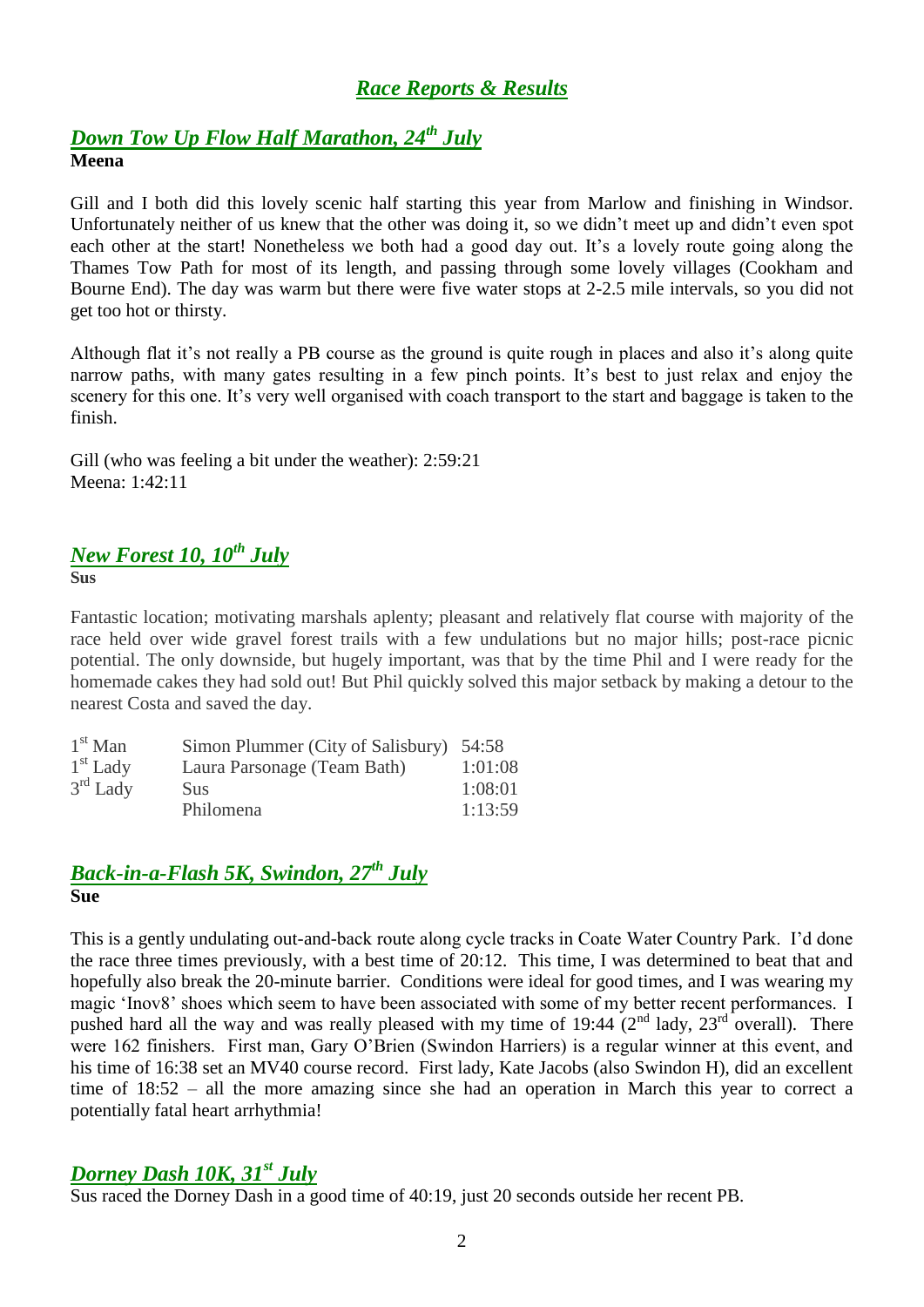# *Race Reports & Results*

# *[Down Tow Up Flow](https://webmail.har.mrc.ac.uk/src/read_body.php?mailbox=INBOX&passed_id=50359&startMessage=1) Half Marathon, 24th July* **Meena**

Gill and I both did this lovely scenic half starting this year from Marlow and finishing in Windsor. Unfortunately neither of us knew that the other was doing it, so we didn't meet up and didn't even spot each other at the start! Nonetheless we both had a good day out. It's a lovely route going along the Thames Tow Path for most of its length, and passing through some lovely villages (Cookham and Bourne End). The day was warm but there were five water stops at 2-2.5 mile intervals, so you did not get too hot or thirsty.

Although flat it's not really a PB course as the ground is quite rough in places and also it's along quite narrow paths, with many gates resulting in a few pinch points. It's best to just relax and enjoy the scenery for this one. It's very well organised with coach transport to the start and baggage is taken to the finish.

Gill (who was feeling a bit under the weather): 2:59:21 Meena: 1:42:11

## *New Forest 10, 10th July* **Sus**

Fantastic location; motivating marshals aplenty; pleasant and relatively flat course with majority of the race held over wide gravel forest trails with a few undulations but no major hills; post-race picnic potential. The only downside, but hugely important, was that by the time Phil and I were ready for the homemade cakes they had sold out! But Phil quickly solved this major setback by making a detour to the nearest Costa and saved the day.

| $1st$ Man  | Simon Plummer (City of Salisbury) 54:58 |         |
|------------|-----------------------------------------|---------|
| $1st$ Lady | Laura Parsonage (Team Bath)             | 1:01:08 |
| $3rd$ Lady | <b>Sus</b>                              | 1:08:01 |
|            | Philomena                               | 1:13:59 |

## *Back-in-a-Flash 5K, Swindon, 27 th July* **Sue**

This is a gently undulating out-and-back route along cycle tracks in Coate Water Country Park. I'd done the race three times previously, with a best time of 20:12. This time, I was determined to beat that and hopefully also break the 20-minute barrier. Conditions were ideal for good times, and I was wearing my magic 'Inov8' shoes which seem to have been associated with some of my better recent performances. I pushed hard all the way and was really pleased with my time of 19:44  $(2^{nd}$  lady,  $23^{rd}$  overall). There were 162 finishers. First man, Gary O'Brien (Swindon Harriers) is a regular winner at this event, and his time of 16:38 set an MV40 course record. First lady, Kate Jacobs (also Swindon H), did an excellent time of 18:52 – all the more amazing since she had an operation in March this year to correct a potentially fatal heart arrhythmia!

## *Dorney Dash 10K, 31st July*

Sus raced the Dorney Dash in a good time of 40:19, just 20 seconds outside her recent PB.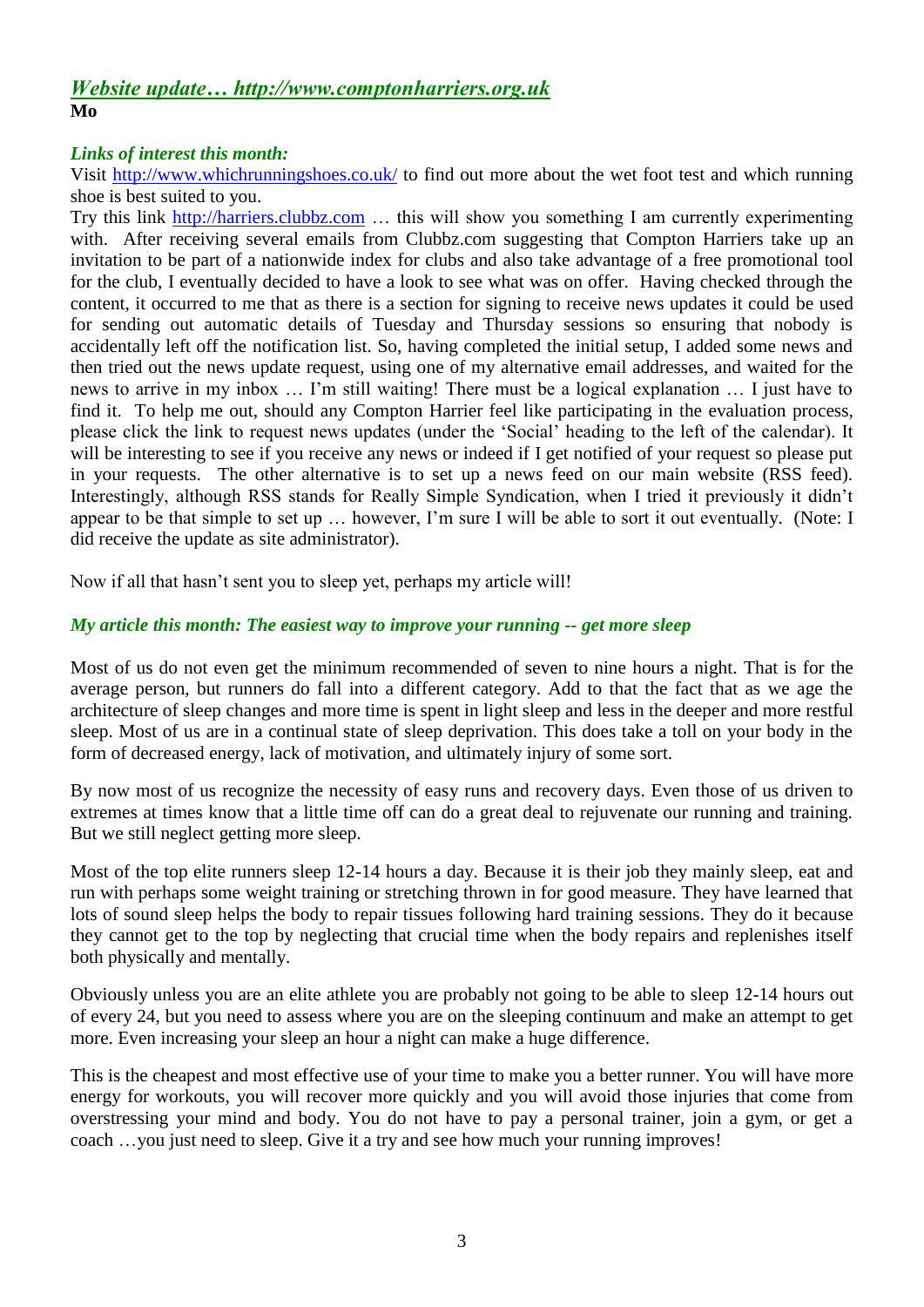## *Website update… http://www.comptonharriers.org.uk* **Mo**

## *Links of interest this month:*

Visit<http://www.whichrunningshoes.co.uk/> to find out more about the wet foot test and which running shoe is best suited to you.

Try this link [http://harriers.clubbz.com](http://harriers.clubbz.com/) … this will show you something I am currently experimenting with. After receiving several emails from Clubbz.com suggesting that Compton Harriers take up an invitation to be part of a nationwide index for clubs and also take advantage of a free promotional tool for the club, I eventually decided to have a look to see what was on offer. Having checked through the content, it occurred to me that as there is a section for signing to receive news updates it could be used for sending out automatic details of Tuesday and Thursday sessions so ensuring that nobody is accidentally left off the notification list. So, having completed the initial setup, I added some news and then tried out the news update request, using one of my alternative email addresses, and waited for the news to arrive in my inbox … I'm still waiting! There must be a logical explanation … I just have to find it. To help me out, should any Compton Harrier feel like participating in the evaluation process, please click the link to request news updates (under the 'Social' heading to the left of the calendar). It will be interesting to see if you receive any news or indeed if I get notified of your request so please put in your requests. The other alternative is to set up a news feed on our main website (RSS feed). Interestingly, although RSS stands for Really Simple Syndication, when I tried it previously it didn't appear to be that simple to set up … however, I'm sure I will be able to sort it out eventually. (Note: I did receive the update as site administrator).

Now if all that hasn't sent you to sleep yet, perhaps my article will!

### *My article this month: The easiest way to improve your running -- get more sleep*

Most of us do not even get the minimum recommended of seven to nine hours a night. That is for the average person, but runners do fall into a different category. Add to that the fact that as we age the architecture of sleep changes and more time is spent in light sleep and less in the deeper and more restful sleep. Most of us are in a continual state of sleep deprivation. This does take a toll on your body in the form of decreased energy, lack of motivation, and ultimately injury of some sort.

By now most of us recognize the necessity of easy runs and recovery days. Even those of us driven to extremes at times know that a little time off can do a great deal to rejuvenate our running and training. But we still neglect getting more sleep.

Most of the top elite runners sleep 12-14 hours a day. Because it is their job they mainly sleep, eat and run with perhaps some weight training or stretching thrown in for good measure. They have learned that lots of sound sleep helps the body to repair tissues following hard training sessions. They do it because they cannot get to the top by neglecting that crucial time when the body repairs and replenishes itself both physically and mentally.

Obviously unless you are an elite athlete you are probably not going to be able to sleep 12-14 hours out of every 24, but you need to assess where you are on the sleeping continuum and make an attempt to get more. Even increasing your sleep an hour a night can make a huge difference.

This is the cheapest and most effective use of your time to make you a better runner. You will have more energy for workouts, you will recover more quickly and you will avoid those injuries that come from overstressing your mind and body. You do not have to pay a personal trainer, join a gym, or get a coach …you just need to sleep. Give it a try and see how much your running improves!